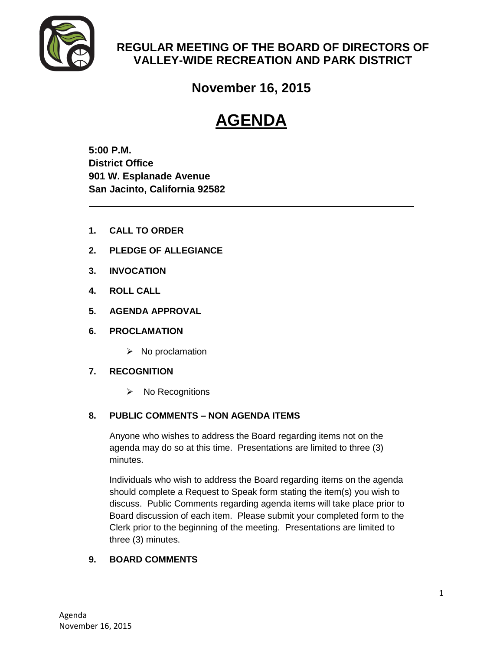

# **REGULAR MEETING OF THE BOARD OF DIRECTORS OF VALLEY-WIDE RECREATION AND PARK DISTRICT**

**November 16, 2015**

# **AGENDA**

**5:00 P.M. District Office 901 W. Esplanade Avenue San Jacinto, California 92582**

- **1. CALL TO ORDER**
- **2. PLEDGE OF ALLEGIANCE**
- **3. INVOCATION**
- **4. ROLL CALL**
- **5. AGENDA APPROVAL**
- **6. PROCLAMATION**
	- $\triangleright$  No proclamation

# **7. RECOGNITION**

 $\triangleright$  No Recognitions

# **8. PUBLIC COMMENTS – NON AGENDA ITEMS**

Anyone who wishes to address the Board regarding items not on the agenda may do so at this time. Presentations are limited to three (3) minutes.

Individuals who wish to address the Board regarding items on the agenda should complete a Request to Speak form stating the item(s) you wish to discuss. Public Comments regarding agenda items will take place prior to Board discussion of each item. Please submit your completed form to the Clerk prior to the beginning of the meeting. Presentations are limited to three (3) minutes.

# **9. BOARD COMMENTS**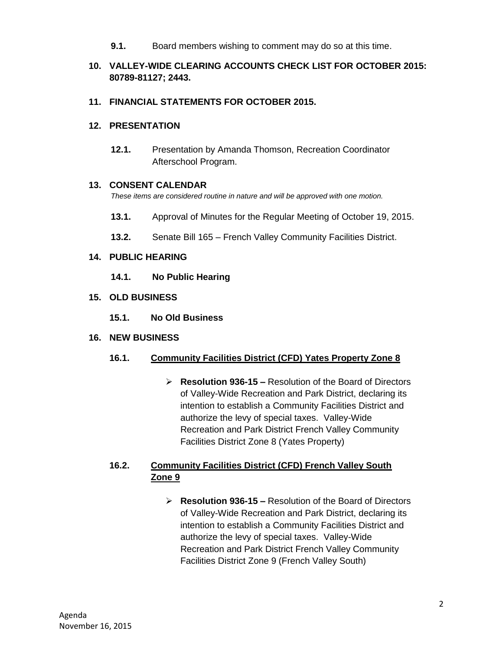**9.1.** Board members wishing to comment may do so at this time.

# **10. VALLEY-WIDE CLEARING ACCOUNTS CHECK LIST FOR OCTOBER 2015: 80789-81127; 2443.**

#### **11. FINANCIAL STATEMENTS FOR OCTOBER 2015.**

#### **12. PRESENTATION**

**12.1.** Presentation by Amanda Thomson, Recreation Coordinator Afterschool Program.

#### **13. CONSENT CALENDAR**

*These items are considered routine in nature and will be approved with one motion.* 

- **13.1.** Approval of Minutes for the Regular Meeting of October 19, 2015.
- **13.2.** Senate Bill 165 French Valley Community Facilities District.

#### **14. PUBLIC HEARING**

- **14.1. No Public Hearing**
- **15. OLD BUSINESS**
	- **15.1. No Old Business**

#### **16. NEW BUSINESS**

# **16.1. Community Facilities District (CFD) Yates Property Zone 8**

 **Resolution 936-15 –** Resolution of the Board of Directors of Valley-Wide Recreation and Park District, declaring its intention to establish a Community Facilities District and authorize the levy of special taxes. Valley-Wide Recreation and Park District French Valley Community Facilities District Zone 8 (Yates Property)

# **16.2. Community Facilities District (CFD) French Valley South Zone 9**

 **Resolution 936-15 –** Resolution of the Board of Directors of Valley-Wide Recreation and Park District, declaring its intention to establish a Community Facilities District and authorize the levy of special taxes. Valley-Wide Recreation and Park District French Valley Community Facilities District Zone 9 (French Valley South)